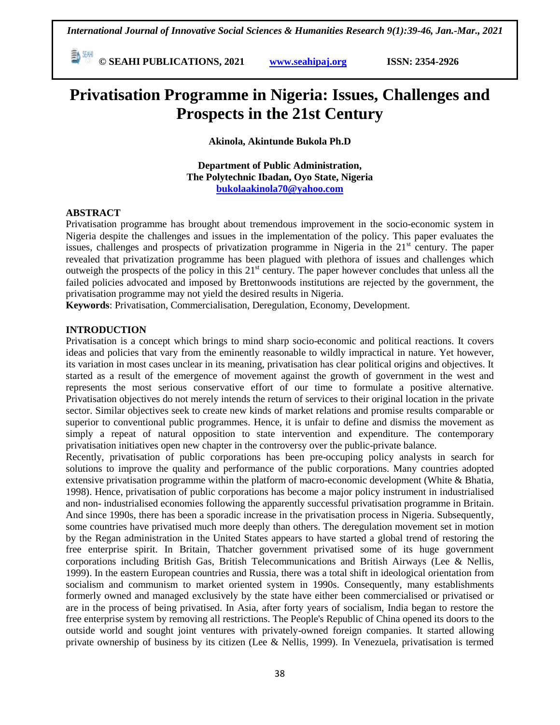**E**  $\frac{20 \text{ MHz}}{100 \text{ Hz}}$  **C** SEAHI PUBLICATIONS, 2021 *www.seahipaj.org* **ISSN: 2354-2926** 

# **Privatisation Programme in Nigeria: Issues, Challenges and Prospects in the 21st Century**

**Akinola, Akintunde Bukola Ph.D**

**Department of Public Administration, The Polytechnic Ibadan, Oyo State, Nigeria [bukolaakinola70@yahoo.com](mailto:bukolaakinola70@yahoo.com)** 

#### **ABSTRACT**

Privatisation programme has brought about tremendous improvement in the socio-economic system in Nigeria despite the challenges and issues in the implementation of the policy. This paper evaluates the issues, challenges and prospects of privatization programme in Nigeria in the  $21<sup>st</sup>$  century. The paper revealed that privatization programme has been plagued with plethora of issues and challenges which outweigh the prospects of the policy in this 21<sup>st</sup> century. The paper however concludes that unless all the failed policies advocated and imposed by Brettonwoods institutions are rejected by the government, the privatisation programme may not yield the desired results in Nigeria.

**Keywords**: Privatisation, Commercialisation, Deregulation, Economy, Development.

#### **INTRODUCTION**

Privatisation is a concept which brings to mind sharp socio-economic and political reactions. It covers ideas and policies that vary from the eminently reasonable to wildly impractical in nature. Yet however, its variation in most cases unclear in its meaning, privatisation has clear political origins and objectives. It started as a result of the emergence of movement against the growth of government in the west and represents the most serious conservative effort of our time to formulate a positive alternative. Privatisation objectives do not merely intends the return of services to their original location in the private sector. Similar objectives seek to create new kinds of market relations and promise results comparable or superior to conventional public programmes. Hence, it is unfair to define and dismiss the movement as simply a repeat of natural opposition to state intervention and expenditure. The contemporary privatisation initiatives open new chapter in the controversy over the public-private balance.

Recently, privatisation of public corporations has been pre-occuping policy analysts in search for solutions to improve the quality and performance of the public corporations. Many countries adopted extensive privatisation programme within the platform of macro-economic development (White & Bhatia, 1998). Hence, privatisation of public corporations has become a major policy instrument in industrialised and non- industrialised economies following the apparently successful privatisation programme in Britain. And since 1990s, there has been a sporadic increase in the privatisation process in Nigeria. Subsequently, some countries have privatised much more deeply than others. The deregulation movement set in motion by the Regan administration in the United States appears to have started a global trend of restoring the free enterprise spirit. In Britain, Thatcher government privatised some of its huge government corporations including British Gas, British Telecommunications and British Airways (Lee & Nellis, 1999). In the eastern European countries and Russia, there was a total shift in ideological orientation from socialism and communism to market oriented system in 1990s. Consequently, many establishments formerly owned and managed exclusively by the state have either been commercialised or privatised or are in the process of being privatised. In Asia, after forty years of socialism, India began to restore the free enterprise system by removing all restrictions. The People's Republic of China opened its doors to the outside world and sought joint ventures with privately-owned foreign companies. It started allowing private ownership of business by its citizen (Lee & Nellis, 1999). In Venezuela, privatisation is termed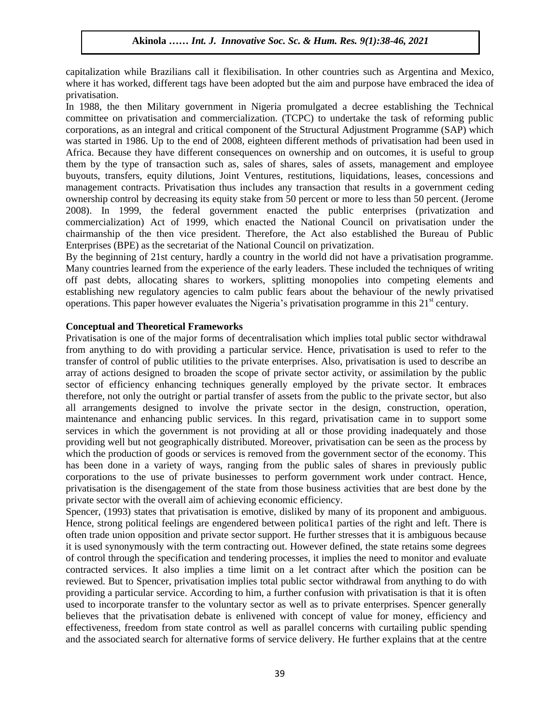capitalization while Brazilians call it flexibilisation. In other countries such as Argentina and Mexico, where it has worked, different tags have been adopted but the aim and purpose have embraced the idea of privatisation.

In 1988, the then Military government in Nigeria promulgated a decree establishing the Technical committee on privatisation and commercialization. (TCPC) to undertake the task of reforming public corporations, as an integral and critical component of the Structural Adjustment Programme (SAP) which was started in 1986. Up to the end of 2008, eighteen different methods of privatisation had been used in Africa. Because they have different consequences on ownership and on outcomes, it is useful to group them by the type of transaction such as, sales of shares, sales of assets, management and employee buyouts, transfers, equity dilutions, Joint Ventures, restitutions, liquidations, leases, concessions and management contracts. Privatisation thus includes any transaction that results in a government ceding ownership control by decreasing its equity stake from 50 percent or more to less than 50 percent. (Jerome 2008). In 1999, the federal government enacted the public enterprises (privatization and commercialization) Act of 1999, which enacted the National Council on privatisation under the chairmanship of the then vice president. Therefore, the Act also established the Bureau of Public Enterprises (BPE) as the secretariat of the National Council on privatization.

By the beginning of 21st century, hardly a country in the world did not have a privatisation programme. Many countries learned from the experience of the early leaders. These included the techniques of writing off past debts, allocating shares to workers, splitting monopolies into competing elements and establishing new regulatory agencies to calm public fears about the behaviour of the newly privatised operations. This paper however evaluates the Nigeria's privatisation programme in this 21<sup>st</sup> century.

### **Conceptual and Theoretical Frameworks**

Privatisation is one of the major forms of decentralisation which implies total public sector withdrawal from anything to do with providing a particular service. Hence, privatisation is used to refer to the transfer of control of public utilities to the private enterprises. Also, privatisation is used to describe an array of actions designed to broaden the scope of private sector activity, or assimilation by the public sector of efficiency enhancing techniques generally employed by the private sector. It embraces therefore, not only the outright or partial transfer of assets from the public to the private sector, but also all arrangements designed to involve the private sector in the design, construction, operation, maintenance and enhancing public services. In this regard, privatisation came in to support some services in which the government is not providing at all or those providing inadequately and those providing well but not geographically distributed. Moreover, privatisation can be seen as the process by which the production of goods or services is removed from the government sector of the economy. This has been done in a variety of ways, ranging from the public sales of shares in previously public corporations to the use of private businesses to perform government work under contract. Hence, privatisation is the disengagement of the state from those business activities that are best done by the private sector with the overall aim of achieving economic efficiency.

Spencer, (1993) states that privatisation is emotive, disliked by many of its proponent and ambiguous. Hence, strong political feelings are engendered between politica1 parties of the right and left. There is often trade union opposition and private sector support. He further stresses that it is ambiguous because it is used synonymously with the term contracting out. However defined, the state retains some degrees of control through the specification and tendering processes, it implies the need to monitor and evaluate contracted services. It also implies a time limit on a let contract after which the position can be reviewed. But to Spencer, privatisation implies total public sector withdrawal from anything to do with providing a particular service. According to him, a further confusion with privatisation is that it is often used to incorporate transfer to the voluntary sector as well as to private enterprises. Spencer generally believes that the privatisation debate is enlivened with concept of value for money, efficiency and effectiveness, freedom from state control as well as parallel concerns with curtailing public spending and the associated search for alternative forms of service delivery. He further explains that at the centre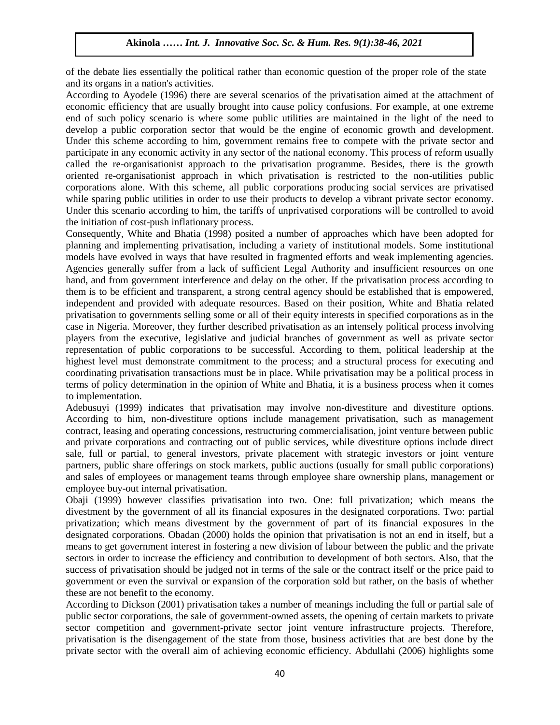of the debate lies essentially the political rather than economic question of the proper role of the state and its organs in a nation's activities.

According to Ayodele (1996) there are several scenarios of the privatisation aimed at the attachment of economic efficiency that are usually brought into cause policy confusions. For example, at one extreme end of such policy scenario is where some public utilities are maintained in the light of the need to develop a public corporation sector that would be the engine of economic growth and development. Under this scheme according to him, government remains free to compete with the private sector and participate in any economic activity in any sector of the national economy. This process of reform usually called the re-organisationist approach to the privatisation programme. Besides, there is the growth oriented re-organisationist approach in which privatisation is restricted to the non-utilities public corporations alone. With this scheme, all public corporations producing social services are privatised while sparing public utilities in order to use their products to develop a vibrant private sector economy. Under this scenario according to him, the tariffs of unprivatised corporations will be controlled to avoid the initiation of cost-push inflationary process.

Consequently, White and Bhatia (1998) posited a number of approaches which have been adopted for planning and implementing privatisation, including a variety of institutional models. Some institutional models have evolved in ways that have resulted in fragmented efforts and weak implementing agencies. Agencies generally suffer from a lack of sufficient Legal Authority and insufficient resources on one hand, and from government interference and delay on the other. If the privatisation process according to them is to be efficient and transparent, a strong central agency should be established that is empowered, independent and provided with adequate resources. Based on their position, White and Bhatia related privatisation to governments selling some or all of their equity interests in specified corporations as in the case in Nigeria. Moreover, they further described privatisation as an intensely political process involving players from the executive, legislative and judicial branches of government as well as private sector representation of public corporations to be successful. According to them, political leadership at the highest level must demonstrate commitment to the process; and a structural process for executing and coordinating privatisation transactions must be in place. While privatisation may be a political process in terms of policy determination in the opinion of White and Bhatia, it is a business process when it comes to implementation.

Adebusuyi (1999) indicates that privatisation may involve non-divestiture and divestiture options. According to him, non-divestiture options include management privatisation, such as management contract, leasing and operating concessions, restructuring commercialisation, joint venture between public and private corporations and contracting out of public services, while divestiture options include direct sale, full or partial, to general investors, private placement with strategic investors or joint venture partners, public share offerings on stock markets, public auctions (usually for small public corporations) and sales of employees or management teams through employee share ownership plans, management or employee buy-out internal privatisation.

Obaji (1999) however classifies privatisation into two. One: full privatization; which means the divestment by the government of all its financial exposures in the designated corporations. Two: partial privatization; which means divestment by the government of part of its financial exposures in the designated corporations. Obadan (2000) holds the opinion that privatisation is not an end in itself, but a means to get government interest in fostering a new division of labour between the public and the private sectors in order to increase the efficiency and contribution to development of both sectors. Also, that the success of privatisation should be judged not in terms of the sale or the contract itself or the price paid to government or even the survival or expansion of the corporation sold but rather, on the basis of whether these are not benefit to the economy.

According to Dickson (2001) privatisation takes a number of meanings including the full or partial sale of public sector corporations, the sale of government-owned assets, the opening of certain markets to private sector competition and government-private sector joint venture infrastructure projects. Therefore, privatisation is the disengagement of the state from those, business activities that are best done by the private sector with the overall aim of achieving economic efficiency. Abdullahi (2006) highlights some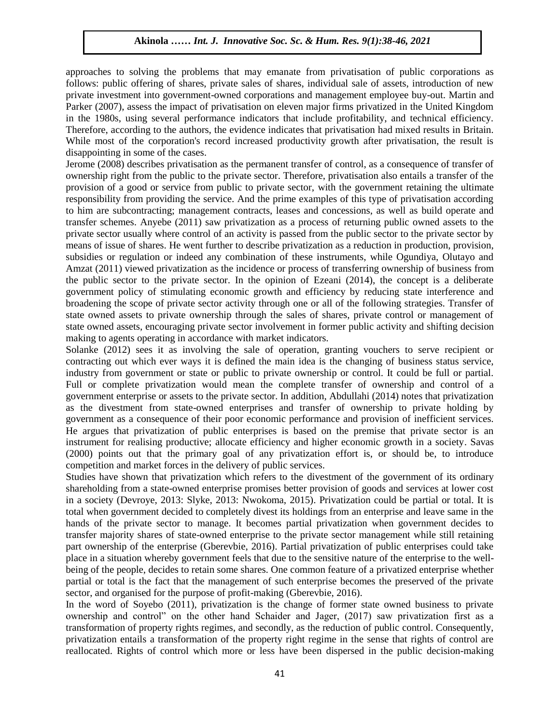approaches to solving the problems that may emanate from privatisation of public corporations as follows: public offering of shares, private sales of shares, individual sale of assets, introduction of new private investment into government-owned corporations and management employee buy-out. Martin and Parker (2007), assess the impact of privatisation on eleven major firms privatized in the United Kingdom in the 1980s, using several performance indicators that include profitability, and technical efficiency. Therefore, according to the authors, the evidence indicates that privatisation had mixed results in Britain. While most of the corporation's record increased productivity growth after privatisation, the result is disappointing in some of the cases.

Jerome (2008) describes privatisation as the permanent transfer of control, as a consequence of transfer of ownership right from the public to the private sector. Therefore, privatisation also entails a transfer of the provision of a good or service from public to private sector, with the government retaining the ultimate responsibility from providing the service. And the prime examples of this type of privatisation according to him are subcontracting; management contracts, leases and concessions, as well as build operate and transfer schemes. Anyebe (2011) saw privatization as a process of returning public owned assets to the private sector usually where control of an activity is passed from the public sector to the private sector by means of issue of shares. He went further to describe privatization as a reduction in production, provision, subsidies or regulation or indeed any combination of these instruments, while Ogundiya, Olutayo and Amzat (2011) viewed privatization as the incidence or process of transferring ownership of business from the public sector to the private sector. In the opinion of Ezeani (2014), the concept is a deliberate government policy of stimulating economic growth and efficiency by reducing state interference and broadening the scope of private sector activity through one or all of the following strategies. Transfer of state owned assets to private ownership through the sales of shares, private control or management of state owned assets, encouraging private sector involvement in former public activity and shifting decision making to agents operating in accordance with market indicators.

Solanke (2012) sees it as involving the sale of operation, granting vouchers to serve recipient or contracting out which ever ways it is defined the main idea is the changing of business status service, industry from government or state or public to private ownership or control. It could be full or partial. Full or complete privatization would mean the complete transfer of ownership and control of a government enterprise or assets to the private sector. In addition, Abdullahi (2014) notes that privatization as the divestment from state-owned enterprises and transfer of ownership to private holding by government as a consequence of their poor economic performance and provision of inefficient services. He argues that privatization of public enterprises is based on the premise that private sector is an instrument for realising productive; allocate efficiency and higher economic growth in a society. Savas (2000) points out that the primary goal of any privatization effort is, or should be, to introduce competition and market forces in the delivery of public services.

Studies have shown that privatization which refers to the divestment of the government of its ordinary shareholding from a state-owned enterprise promises better provision of goods and services at lower cost in a society (Devroye, 2013: Slyke, 2013: Nwokoma, 2015). Privatization could be partial or total. It is total when government decided to completely divest its holdings from an enterprise and leave same in the hands of the private sector to manage. It becomes partial privatization when government decides to transfer majority shares of state-owned enterprise to the private sector management while still retaining part ownership of the enterprise (Gberevbie, 2016). Partial privatization of public enterprises could take place in a situation whereby government feels that due to the sensitive nature of the enterprise to the wellbeing of the people, decides to retain some shares. One common feature of a privatized enterprise whether partial or total is the fact that the management of such enterprise becomes the preserved of the private sector, and organised for the purpose of profit-making (Gberevbie, 2016).

In the word of Soyebo (2011), privatization is the change of former state owned business to private ownership and control" on the other hand Schaider and Jager, (2017) saw privatization first as a transformation of property rights regimes, and secondly, as the reduction of public control. Consequently, privatization entails a transformation of the property right regime in the sense that rights of control are reallocated. Rights of control which more or less have been dispersed in the public decision-making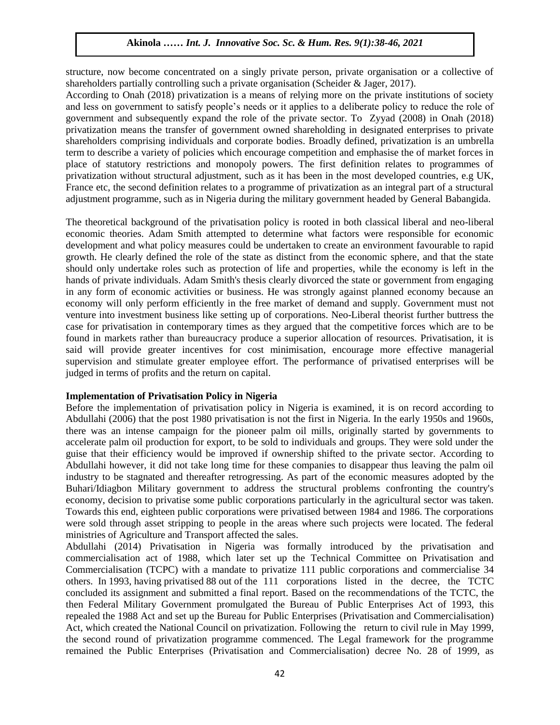structure, now become concentrated on a singly private person, private organisation or a collective of shareholders partially controlling such a private organisation (Scheider & Jager, 2017).

According to Onah (2018) privatization is a means of relying more on the private institutions of society and less on government to satisfy people's needs or it applies to a deliberate policy to reduce the role of government and subsequently expand the role of the private sector. To Zyyad (2008) in Onah (2018) privatization means the transfer of government owned shareholding in designated enterprises to private shareholders comprising individuals and corporate bodies. Broadly defined, privatization is an umbrella term to describe a variety of policies which encourage competition and emphasise the of market forces in place of statutory restrictions and monopoly powers. The first definition relates to programmes of privatization without structural adjustment, such as it has been in the most developed countries, e.g UK, France etc, the second definition relates to a programme of privatization as an integral part of a structural adjustment programme, such as in Nigeria during the military government headed by General Babangida.

The theoretical background of the privatisation policy is rooted in both classical liberal and neo-liberal economic theories. Adam Smith attempted to determine what factors were responsible for economic development and what policy measures could be undertaken to create an environment favourable to rapid growth. He clearly defined the role of the state as distinct from the economic sphere, and that the state should only undertake roles such as protection of life and properties, while the economy is left in the hands of private individuals. Adam Smith's thesis clearly divorced the state or government from engaging in any form of economic activities or business. He was strongly against planned economy because an economy will only perform efficiently in the free market of demand and supply. Government must not venture into investment business like setting up of corporations. Neo-Liberal theorist further buttress the case for privatisation in contemporary times as they argued that the competitive forces which are to be found in markets rather than bureaucracy produce a superior allocation of resources. Privatisation, it is said will provide greater incentives for cost minimisation, encourage more effective managerial supervision and stimulate greater employee effort. The performance of privatised enterprises will be judged in terms of profits and the return on capital.

#### **Implementation of Privatisation Policy in Nigeria**

Before the implementation of privatisation policy in Nigeria is examined, it is on record according to Abdullahi (2006) that the post 1980 privatisation is not the first in Nigeria. In the early 1950s and 1960s, there was an intense campaign for the pioneer palm oil mills, originally started by governments to accelerate palm oil production for export, to be sold to individuals and groups. They were sold under the guise that their efficiency would be improved if ownership shifted to the private sector. According to Abdullahi however, it did not take long time for these companies to disappear thus leaving the palm oil industry to be stagnated and thereafter retrogressing. As part of the economic measures adopted by the Buhari/Idiagbon Military government to address the structural problems confronting the country's economy, decision to privatise some public corporations particularly in the agricultural sector was taken. Towards this end, eighteen public corporations were privatised between 1984 and 1986. The corporations were sold through asset stripping to people in the areas where such projects were located. The federal ministries of Agriculture and Transport affected the sales.

Abdullahi (2014) Privatisation in Nigeria was formally introduced by the privatisation and commercialisation act of 1988, which later set up the Technical Committee on Privatisation and Commercialisation (TCPC) with a mandate to privatize 111 public corporations and commercialise 34 others. In 1993, having privatised 88 out of the 111 corporations listed in the decree, the TCTC concluded its assignment and submitted a final report. Based on the recommendations of the TCTC, the then Federal Military Government promulgated the Bureau of Public Enterprises Act of 1993, this repealed the 1988 Act and set up the Bureau for Public Enterprises (Privatisation and Commercialisation) Act, which created the National Council on privatization. Following the return to civil rule in May 1999, the second round of privatization programme commenced. The Legal framework for the programme remained the Public Enterprises (Privatisation and Commercialisation) decree No. 28 of 1999, as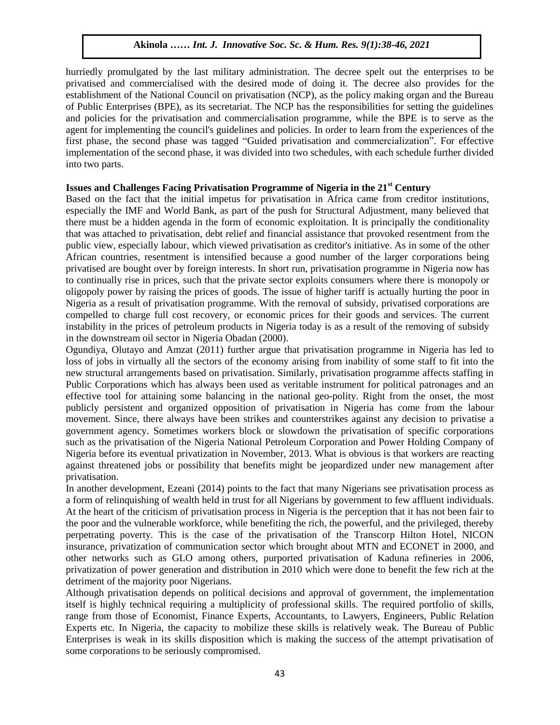hurriedly promulgated by the last military administration. The decree spelt out the enterprises to be privatised and commercialised with the desired mode of doing it. The decree also provides for the establishment of the National Council on privatisation (NCP), as the policy making organ and the Bureau of Public Enterprises (BPE), as its secretariat. The NCP has the responsibilities for setting the guidelines and policies for the privatisation and commercialisation programme, while the BPE is to serve as the agent for implementing the council's guidelines and policies. In order to learn from the experiences of the first phase, the second phase was tagged "Guided privatisation and commercialization". For effective implementation of the second phase, it was divided into two schedules, with each schedule further divided into two parts.

## **Issues and Challenges Facing Privatisation Programme of Nigeria in the 21st Century**

Based on the fact that the initial impetus for privatisation in Africa came from creditor institutions, especially the IMF and World Bank, as part of the push for Structural Adjustment, many believed that there must be a hidden agenda in the form of economic exploitation. It is principally the conditionality that was attached to privatisation, debt relief and financial assistance that provoked resentment from the public view, especially labour, which viewed privatisation as creditor's initiative. As in some of the other African countries, resentment is intensified because a good number of the larger corporations being privatised are bought over by foreign interests. In short run, privatisation programme in Nigeria now has to continually rise in prices, such that the private sector exploits consumers where there is monopoly or oligopoly power by raising the prices of goods. The issue of higher tariff is actually hurting the poor in Nigeria as a result of privatisation programme. With the removal of subsidy, privatised corporations are compelled to charge full cost recovery, or economic prices for their goods and services. The current instability in the prices of petroleum products in Nigeria today is as a result of the removing of subsidy in the downstream oil sector in Nigeria Obadan (2000).

Ogundiya, Olutayo and Amzat (2011) further argue that privatisation programme in Nigeria has led to loss of jobs in virtually all the sectors of the economy arising from inability of some staff to fit into the new structural arrangements based on privatisation. Similarly, privatisation programme affects staffing in Public Corporations which has always been used as veritable instrument for political patronages and an effective tool for attaining some balancing in the national geo-polity. Right from the onset, the most publicly persistent and organized opposition of privatisation in Nigeria has come from the labour movement. Since, there always have been strikes and counterstrikes against any decision to privatise a government agency. Sometimes workers block or slowdown the privatisation of specific corporations such as the privatisation of the Nigeria National Petroleum Corporation and Power Holding Company of Nigeria before its eventual privatization in November, 2013. What is obvious is that workers are reacting against threatened jobs or possibility that benefits might be jeopardized under new management after privatisation.

In another development, Ezeani (2014) points to the fact that many Nigerians see privatisation process as a form of relinquishing of wealth held in trust for all Nigerians by government to few affluent individuals. At the heart of the criticism of privatisation process in Nigeria is the perception that it has not been fair to the poor and the vulnerable workforce, while benefiting the rich, the powerful, and the privileged, thereby perpetrating poverty. This is the case of the privatisation of the Transcorp Hilton Hotel, NICON insurance, privatization of communication sector which brought about MTN and ECONET in 2000, and other networks such as GLO among others, purported privatisation of Kaduna refineries in 2006, privatization of power generation and distribution in 2010 which were done to benefit the few rich at the detriment of the majority poor Nigerians.

Although privatisation depends on political decisions and approval of government, the implementation itself is highly technical requiring a multiplicity of professional skills. The required portfolio of skills, range from those of Economist, Finance Experts, Accountants, to Lawyers, Engineers, Public Relation Experts etc. In Nigeria, the capacity to mobilize these skills is relatively weak. The Bureau of Public Enterprises is weak in its skills disposition which is making the success of the attempt privatisation of some corporations to be seriously compromised.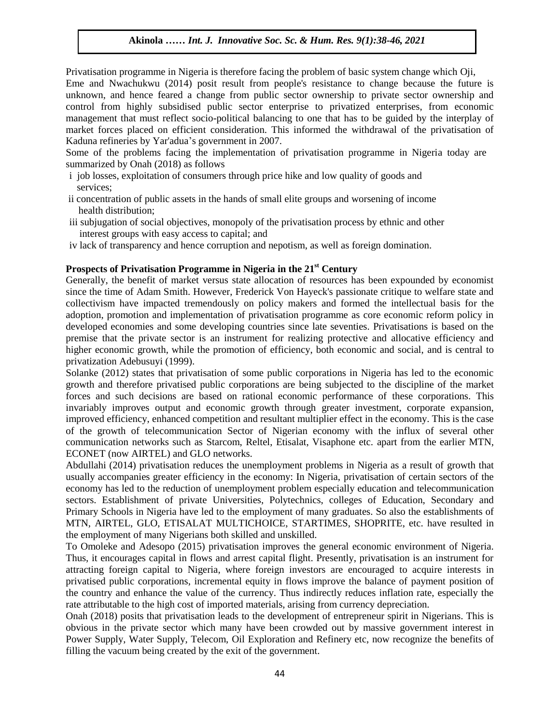Privatisation programme in Nigeria is therefore facing the problem of basic system change which Oji, Eme and Nwachukwu (2014) posit result from people's resistance to change because the future is unknown, and hence feared a change from public sector ownership to private sector ownership and control from highly subsidised public sector enterprise to privatized enterprises, from economic management that must reflect socio-political balancing to one that has to be guided by the interplay of market forces placed on efficient consideration. This informed the withdrawal of the privatisation of Kaduna refineries by Yar'adua's government in 2007.

Some of the problems facing the implementation of privatisation programme in Nigeria today are summarized by Onah (2018) as follows

- i job losses, exploitation of consumers through price hike and low quality of goods and services;
- ii concentration of public assets in the hands of small elite groups and worsening of income health distribution;
- iii subjugation of social objectives, monopoly of the privatisation process by ethnic and other interest groups with easy access to capital; and
- iv lack of transparency and hence corruption and nepotism, as well as foreign domination.

#### **Prospects of Privatisation Programme in Nigeria in the 21st Century**

Generally, the benefit of market versus state allocation of resources has been expounded by economist since the time of Adam Smith. However, Frederick Von Hayeck's passionate critique to welfare state and collectivism have impacted tremendously on policy makers and formed the intellectual basis for the adoption, promotion and implementation of privatisation programme as core economic reform policy in developed economies and some developing countries since late seventies. Privatisations is based on the premise that the private sector is an instrument for realizing protective and allocative efficiency and higher economic growth, while the promotion of efficiency, both economic and social, and is central to privatization Adebusuyi (1999).

Solanke (2012) states that privatisation of some public corporations in Nigeria has led to the economic growth and therefore privatised public corporations are being subjected to the discipline of the market forces and such decisions are based on rational economic performance of these corporations. This invariably improves output and economic growth through greater investment, corporate expansion, improved efficiency, enhanced competition and resultant multiplier effect in the economy. This is the case of the growth of telecommunication Sector of Nigerian economy with the influx of several other communication networks such as Starcom, Reltel, Etisalat, Visaphone etc. apart from the earlier MTN, ECONET (now AIRTEL) and GLO networks.

Abdullahi (2014) privatisation reduces the unemployment problems in Nigeria as a result of growth that usually accompanies greater efficiency in the economy: In Nigeria, privatisation of certain sectors of the economy has led to the reduction of unemployment problem especially education and telecommunication sectors. Establishment of private Universities, Polytechnics, colleges of Education, Secondary and Primary Schools in Nigeria have led to the employment of many graduates. So also the establishments of MTN, AIRTEL, GLO, ETISALAT MULTICHOICE, STARTIMES, SHOPRITE, etc. have resulted in the employment of many Nigerians both skilled and unskilled.

To Omoleke and Adesopo (2015) privatisation improves the general economic environment of Nigeria. Thus, it encourages capital in flows and arrest capital flight. Presently, privatisation is an instrument for attracting foreign capital to Nigeria, where foreign investors are encouraged to acquire interests in privatised public corporations, incremental equity in flows improve the balance of payment position of the country and enhance the value of the currency. Thus indirectly reduces inflation rate, especially the rate attributable to the high cost of imported materials, arising from currency depreciation.

Onah (2018) posits that privatisation leads to the development of entrepreneur spirit in Nigerians. This is obvious in the private sector which many have been crowded out by massive government interest in Power Supply, Water Supply, Telecom, Oil Exploration and Refinery etc, now recognize the benefits of filling the vacuum being created by the exit of the government.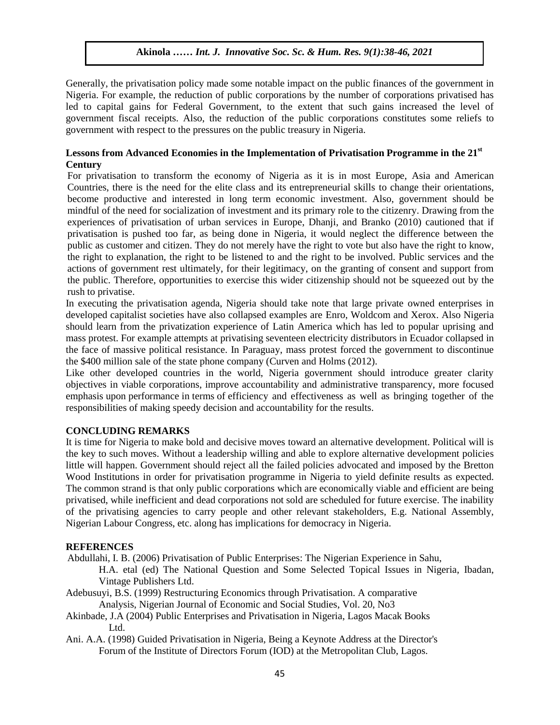Generally, the privatisation policy made some notable impact on the public finances of the government in Nigeria. For example, the reduction of public corporations by the number of corporations privatised has led to capital gains for Federal Government, to the extent that such gains increased the level of government fiscal receipts. Also, the reduction of the public corporations constitutes some reliefs to government with respect to the pressures on the public treasury in Nigeria.

### **Lessons from Advanced Economies in the Implementation of Privatisation Programme in the 21st Century**

For privatisation to transform the economy of Nigeria as it is in most Europe, Asia and American Countries, there is the need for the elite class and its entrepreneurial skills to change their orientations, become productive and interested in long term economic investment. Also, government should be mindful of the need for socialization of investment and its primary role to the citizenry. Drawing from the experiences of privatisation of urban services in Europe, Dhanji, and Branko (2010) cautioned that if privatisation is pushed too far, as being done in Nigeria, it would neglect the difference between the public as customer and citizen. They do not merely have the right to vote but also have the right to know, the right to explanation, the right to be listened to and the right to be involved. Public services and the actions of government rest ultimately, for their legitimacy, on the granting of consent and support from the public. Therefore, opportunities to exercise this wider citizenship should not be squeezed out by the rush to privatise.

In executing the privatisation agenda, Nigeria should take note that large private owned enterprises in developed capitalist societies have also collapsed examples are Enro, Woldcom and Xerox. Also Nigeria should learn from the privatization experience of Latin America which has led to popular uprising and mass protest. For example attempts at privatising seventeen electricity distributors in Ecuador collapsed in the face of massive political resistance. In Paraguay, mass protest forced the government to discontinue the \$400 million sale of the state phone company (Curven and Holms (2012).

Like other developed countries in the world, Nigeria government should introduce greater clarity objectives in viable corporations, improve accountability and administrative transparency, more focused emphasis upon performance in terms of efficiency and effectiveness as well as bringing together of the responsibilities of making speedy decision and accountability for the results.

#### **CONCLUDING REMARKS**

It is time for Nigeria to make bold and decisive moves toward an alternative development. Political will is the key to such moves. Without a leadership willing and able to explore alternative development policies little will happen. Government should reject all the failed policies advocated and imposed by the Bretton Wood Institutions in order for privatisation programme in Nigeria to yield definite results as expected. The common strand is that only public corporations which are economically viable and efficient are being privatised, while inefficient and dead corporations not sold are scheduled for future exercise. The inability of the privatising agencies to carry people and other relevant stakeholders, E.g. National Assembly, Nigerian Labour Congress, etc. along has implications for democracy in Nigeria.

#### **REFERENCES**

- Abdullahi, I. B. (2006) Privatisation of Public Enterprises: The Nigerian Experience in Sahu,
	- H.A. etal (ed) The National Question and Some Selected Topical Issues in Nigeria, Ibadan, Vintage Publishers Ltd.
- Adebusuyi, B.S. (1999) Restructuring Economics through Privatisation. A comparative Analysis, Nigerian Journal of Economic and Social Studies, Vol. 20, No3
- Akinbade, J.A (2004) Public Enterprises and Privatisation in Nigeria, Lagos Macak Books Ltd.
- Ani. A.A. (1998) Guided Privatisation in Nigeria, Being a Keynote Address at the Director's Forum of the Institute of Directors Forum (IOD) at the Metropolitan Club, Lagos.